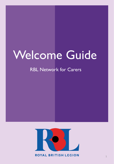# Welcome Guide

# RBL Network for Carers

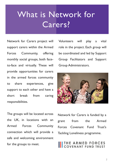# What is Network for Carers?

Network for Carers project will support carers within the Armed Forces Community, offering monthly social groups, both faceto-face and virtually. These will provide opportunities for carers in the armed forces community to share experiences, give support to each other and have a short break from caring responsibilities.

The groups will be located across the UK, in locations with an Armed Forces Community connection which will provide a safe and welcoming environment for the groups to meet.

Volunteers will play a vital role in the project. Each group will be coordinated and led by Support Group Facilitators and Support Group Administrators.



Network for Carers is funded by a grant from the Armed Forces Covenant Fund Trust's Tackling Loneliness programme.

#### THE ARMED FORCES **OVENANT FIIND TRIIST**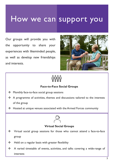# How we can support you

Our groups will provide you with the opportunity to share your experiences with likeminded people, as well as develop new friendships and interests.





#### **Face-to-Face Social Groups**

- ❖ Monthly face-to-face social group sessions
- ❖ A programme of activities, themes and discussions tailored to the interests of the group
- ❖ Hosted at unique venues associated with the Armed Forces community



#### **Virtual Social Groups**

- ❖ Virtual social group sessions for those who cannot attend a face-to-face group
- ❖ Held on a regular basis with greater flexibility
- ❖ A varied timetable of events, activities, and talks covering a wide-range of interests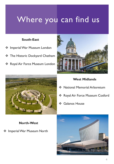# Where you can find us

#### **South-East**

- ❖ Imperial War Museum London
- ❖ The Historic Dockyard Chatham
- ❖ Royal Air Force Museum London





#### **West Midlands**

- ❖ National Memorial Arboretum
- ❖ Royal Air Force Museum Cosford
- ❖ Galanos House

#### **North-West**

❖ Imperial War Museum North

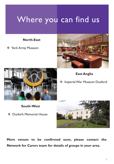# Where you can find us

#### **North-East**

❖ York Army Museum



**East Anglia**



❖ Imperial War Museum Duxford

- **South-West**
- ❖ Dunkirk Memorial House



**More venues to be confirmed soon, please contact the Network for Carers team for details of groups in your area.**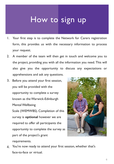# How to sign up

- 1. Your first step is to complete the Network for Carers registration form, this provides us with the necessary information to process your request.
- 2. A member of the team will then get in touch and welcome you to the project, providing you with all the information you need. This will also give you the opportunity to discuss any expectations or apprehensions and ask any questions.
- 3. Before you attend your first session, you will be provided with the opportunity to complete a survey known as the Warwick-Edinburgh Mental Wellbeing Scale (WEMWBS). Completion of this survey is **optional** however we are required to offer all participants the opportunity to complete the survey as part of the project's grant requirements.



4. You're now ready to attend your first session, whether that's face-to-face or virtual.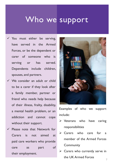# Who we support

- $\checkmark$  You must either be serving, have served in the Armed Forces, or be the dependent or carer of someone who is serving or has served. Dependents include children, spouses, and partners.
- $\checkmark$  We consider an adult or child to be a carer if they look after a family member, partner or friend who needs help because of their illness, frailty, disability, a mental health problem, or an addiction and cannot cope without their support.
- $\checkmark$  Please note that Network for Carers is not aimed at paid care workers who provide care as part of their employment.



Examples of who we support include:

- ➢ Veterans who have caring responsibilities
- ➢ Carers who care for a member of the Armed Forces **Community**
- $\triangleright$  Carers who currently serve in the UK Armed Forces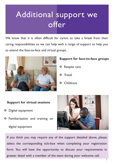# Additional support we offer

We know that it is often difficult for carers to take a break from their caring responsibilities so we can help with a range of support to help you to attend the face-to-face and virtual groups.



### **Support for face-to-face groups**

- ❖ Respite care
- ❖ Travel
- ❖ Childcare

#### **Support for virtual sessions**

- ❖ Digital equipment
- ❖ Familiarisation and training on digital equipment



If you think you may require any of the support detailed above, please select the corresponding tick-box when completing your registration form. You will have the opportunity to discuss your requirements in greater detail with a member of the team during your welcome call.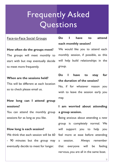# Frequently Asked **Questions**

#### Face-to-Face Social Groups

**How often do the groups meet?** The groups will meet monthly to start with but may eventually decide to meet more frequently.

#### **When are the sessions held?**

This will be different at each location so to check please email us.

### **How long can I attend group sessions?**

You can attend the monthly group sessions for as long as you like.

#### **How long is each session?**

We think that each session will be 60 - 90 minutes but the group may eventually decide to meet for longer.

### **Do I have to attend each monthly session?**

We would like you to attend each monthly session, if possible, as this will help build relationships in the group.

### **Do I have to stay for the duration of the session?**

No, if for whatever reason you wish to leave the session early you may.

### **I am worried about attending a group session.**

Being anxious about attending a new group is completely normal. We will support you to help you feel more at ease before attending a session. Always remember that everyone will be feeling nervous, you are all in the same boat.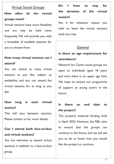#### Virtual Social Groups

# **How often do the virtual groups meet?**

Virtual sessions have more flexibility and are may be held more frequently. We will provide you with a timetable of available sessions for you to choose from.

# **How many virtual sessions can I attend?**

You can attend as many virtual sessions as you like, subject to availability, and you can attend the virtual sessions for as long as you like.

## **How long is each virtual session?**

This will vary between sessions. Please contact us for more details.

## **Can I attend both face-to-face and virtual sessions?**

You are welcome to attend virtual sessions in addition to a face-to-face group.

# **Do I have to stay for the duration of the virtual session?**

No, if for whatever reason you wish to leave the virtual sessions early you may.

### General

# **Is there an age requirement for attendance?**

Network for Carers social groups are open to individuals aged 18 years and over, there is no upper age limit. We hope to extend our programme of support to young carers in the future.

## **Is there an end date to the project?**

The project's external funding ends in April 2023. However, the RBL aims to ensure that the groups can continue in the future, and we will ask you to let us know how you would like the project to continue.